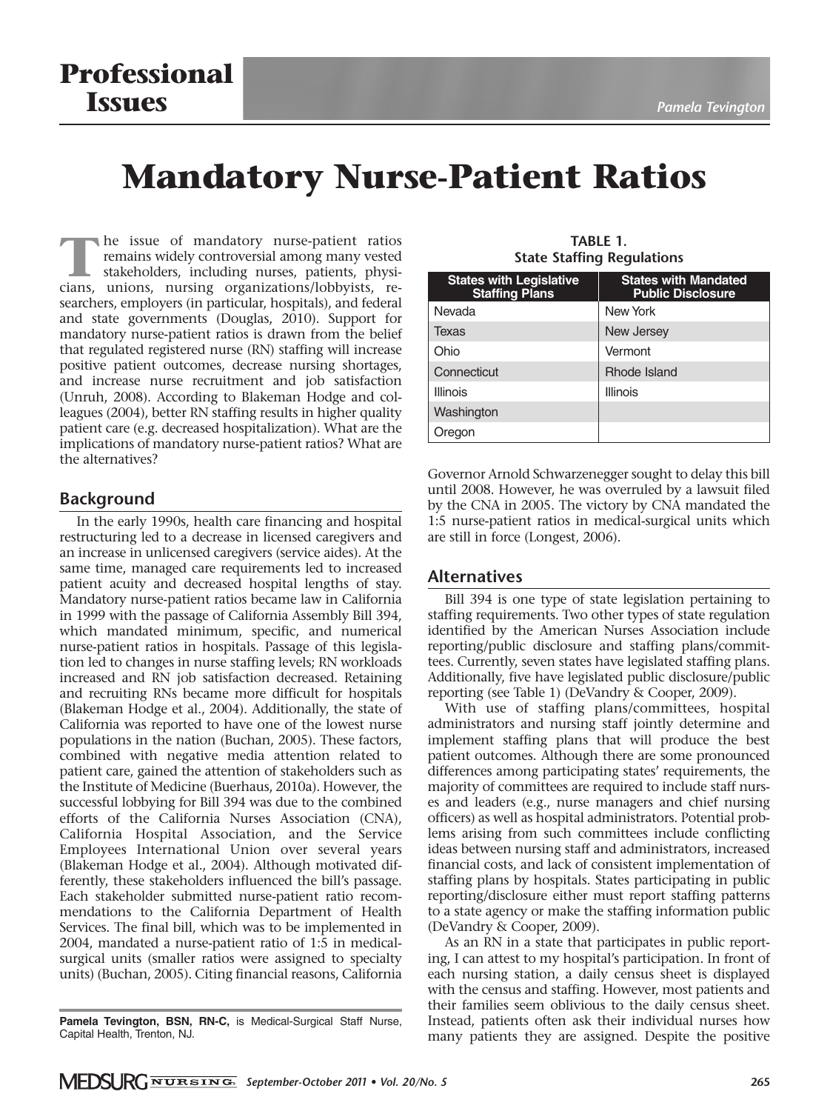# **Mandatory Nurse-Patient Ratios**

**The issue of mandatory nurse-patient ratios<br>
remains widely controversial among many vested<br>
stakeholders, including nurses, patients, physi-<br>
cians<br>
unions nursing organizations/lobbyists<br>
re**remains widely controversial among many vested stakeholders, including nurses, patients, physicians, unions, nursing organizations/lobbyists, re searchers, employers (in particular, hospitals), and federal and state governments (Douglas, 2010). Support for mandatory nurse-patient ratios is drawn from the belief that regulated registered nurse (RN) staffing will increase positive patient outcomes, decrease nursing shortages, and increase nurse recruitment and job satisfaction (Unruh, 2008). According to Blakeman Hodge and colleagues (2004), better RN staffing results in higher quality patient care (e.g. decreased hospitalization). What are the implications of mandatory nurse-patient ratios? What are the alternatives?

# **Background**

In the early 1990s, health care financing and hospital restructuring led to a decrease in licensed caregivers and an increase in unlicensed caregivers (service aides). At the same time, managed care requirements led to increased patient acuity and decreased hospital lengths of stay. Mandatory nurse-patient ratios became law in California in 1999 with the passage of California Assembly Bill 394, which mandated minimum, specific, and numerical nurse-patient ratios in hospitals. Passage of this legislation led to changes in nurse staffing levels; RN workloads increased and RN job satisfaction decreased. Retaining and recruiting RNs became more difficult for hospitals (Blakeman Hodge et al., 2004). Additionally, the state of California was reported to have one of the lowest nurse populations in the nation (Buchan, 2005). These factors, combined with negative media attention related to patient care, gained the attention of stakeholders such as the Institute of Medicine (Buerhaus, 2010a). However, the successful lobbying for Bill 394 was due to the combined efforts of the California Nurses Association (CNA), California Hospital Association, and the Service Employees International Union over several years (Blakeman Hodge et al., 2004). Although motivated differently, these stakeholders influenced the bill's passage. Each stakeholder submitted nurse-patient ratio recommendations to the California Department of Health Services. The final bill, which was to be implemented in 2004, mandated a nurse-patient ratio of 1:5 in medicalsurgical units (smaller ratios were assigned to specialty units) (Buchan, 2005). Citing financial reasons, California

| <b>States with Legislative</b><br><b>Staffing Plans</b> | <b>States with Mandated</b><br><b>Public Disclosure</b> |
|---------------------------------------------------------|---------------------------------------------------------|
| Nevada                                                  | New York                                                |
| <b>Texas</b>                                            | New Jersey                                              |
| Ohio                                                    | Vermont                                                 |
| Connecticut                                             | Rhode Island                                            |
| Illinois                                                | <b>Illinois</b>                                         |
| Washington                                              |                                                         |
| Oregon                                                  |                                                         |

**TABLE 1. State Staffing Regulations**

Governor Arnold Schwarzenegger sought to delay this bill until 2008. However, he was overruled by a lawsuit filed by the CNA in 2005. The victory by CNA mandated the 1:5 nurse-patient ratios in medical-surgical units which are still in force (Longest, 2006).

### **Alternatives**

Bill 394 is one type of state legislation pertaining to staffing requirements. Two other types of state regulation identified by the American Nurses Association include reporting/public disclosure and staffing plans/committees. Currently, seven states have legislated staffing plans. Additionally, five have legislated public disclosure/public reporting (see Table 1) (DeVandry & Cooper, 2009).

With use of staffing plans/committees, hospital administrators and nursing staff jointly determine and implement staffing plans that will produce the best patient outcomes. Although there are some pronounced differences among participating states' requirements, the majority of committees are required to include staff nurses and leaders (e.g., nurse managers and chief nursing officers) as well as hospital administrators. Potential problems arising from such committees include conflicting ideas between nursing staff and administrators, increased financial costs, and lack of consistent implementation of staffing plans by hospitals. States participating in public reporting/disclosure either must report staffing patterns to a state agency or make the staffing information public (DeVandry & Cooper, 2009).

As an RN in a state that participates in public reporting, I can attest to my hospital's participation. In front of each nursing station, a daily census sheet is displayed with the census and staffing. However, most patients and their families seem oblivious to the daily census sheet. Instead, patients often ask their individual nurses how many patients they are assigned. Despite the positive

**Pamela Tevington, BSN, RN-C,** is Medical-Surgical Staff Nurse, Capital Health, Trenton, NJ.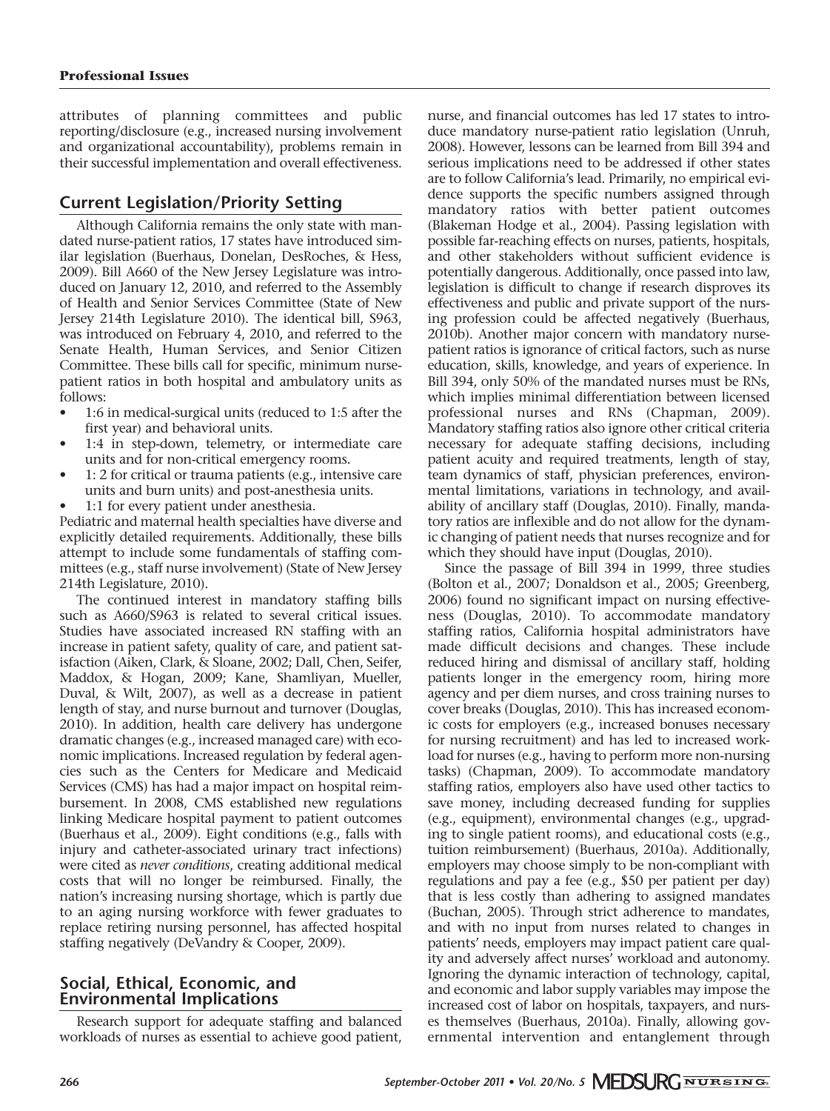attributes of planning committees and public reporting/disclosure (e.g., increased nursing involvement and organizational accountability), problems remain in their successful implementation and overall effectiveness.

# **Current Legislation/Priority Setting**

Although California remains the only state with mandated nurse-patient ratios, 17 states have introduced similar legislation (Buerhaus, Donelan, DesRoches, & Hess, 2009). Bill A660 of the New Jersey Legislature was introduced on January 12, 2010, and referred to the Assembly of Health and Senior Services Committee (State of New Jersey 214th Legislature 2010). The identical bill, S963, was introduced on February 4, 2010, and referred to the Senate Health, Human Services, and Senior Citizen Committee. These bills call for specific, minimum nursepatient ratios in both hospital and ambulatory units as follows:

- 1:6 in medical-surgical units (reduced to 1:5 after the first year) and behavioral units.
- 1:4 in step-down, telemetry, or intermediate care units and for non-critical emergency rooms.
- 1: 2 for critical or trauma patients (e.g., intensive care units and burn units) and post-anesthesia units.
- 1:1 for every patient under anesthesia.

Pediatric and maternal health specialties have diverse and explicitly detailed requirements. Additionally, these bills attempt to include some fundamentals of staffing committees (e.g., staff nurse involvement) (State of New Jersey 214th Legislature, 2010).

The continued interest in mandatory staffing bills such as A660/S963 is related to several critical issues. Studies have associated increased RN staffing with an increase in patient safety, quality of care, and patient satisfaction (Aiken, Clark, & Sloane, 2002; Dall, Chen, Seifer, Maddox, & Hogan, 2009; Kane, Shamliyan, Mueller, Duval, & Wilt, 2007), as well as a decrease in patient length of stay, and nurse burnout and turnover (Douglas, 2010). In addition, health care delivery has undergone dramatic changes (e.g., increased managed care) with economic implications. Increased regulation by federal agencies such as the Centers for Medicare and Medicaid Services (CMS) has had a major impact on hospital reimbursement. In 2008, CMS established new regulations linking Medicare hospital payment to patient outcomes (Buerhaus et al., 2009). Eight conditions (e.g., falls with injury and catheter-associated urinary tract infections) were cited as *never conditions*, creating additional medical costs that will no longer be reimbursed. Finally, the nation's increasing nursing shortage, which is partly due to an aging nursing workforce with fewer graduates to replace retiring nursing personnel, has affected hospital staffing negatively (DeVandry & Cooper, 2009).

# **Social, Ethical, Economic, and Environmental Implications**

Research support for adequate staffing and balanced workloads of nurses as essential to achieve good patient, nurse, and financial outcomes has led 17 states to introduce mandatory nurse-patient ratio legislation (Unruh, 2008). However, lessons can be learned from Bill 394 and serious implications need to be addressed if other states are to follow California's lead. Primarily, no empirical evidence supports the specific numbers assigned through mandatory ratios with better patient outcomes (Blakeman Hodge et al., 2004). Passing legislation with possible far-reaching effects on nurses, patients, hospitals, and other stakeholders without sufficient evidence is potentially dangerous. Additionally, once passed into law, legislation is difficult to change if research disproves its effectiveness and public and private support of the nursing profession could be affected negatively (Buerhaus, 2010b). Another major concern with mandatory nursepatient ratios is ignorance of critical factors, such as nurse education, skills, knowledge, and years of experience. In Bill 394, only 50% of the mandated nurses must be RNs, which implies minimal differentiation between licensed professional nurses and RNs (Chapman, 2009). Mandatory staffing ratios also ignore other critical criteria necessary for adequate staffing decisions, including patient acuity and required treatments, length of stay, team dynamics of staff, physician preferences, environmental limitations, variations in technology, and availability of ancillary staff (Douglas, 2010). Finally, mandatory ratios are inflexible and do not allow for the dynamic changing of patient needs that nurses recognize and for which they should have input (Douglas, 2010).

Since the passage of Bill 394 in 1999, three studies (Bolton et al., 2007; Donaldson et al., 2005; Greenberg, 2006) found no significant impact on nursing effectiveness (Douglas, 2010). To accommodate mandatory staffing ratios, California hospital administrators have made difficult decisions and changes. These include reduced hiring and dismissal of ancillary staff, holding patients longer in the emergency room, hiring more agency and per diem nurses, and cross training nurses to cover breaks (Douglas, 2010). This has increased economic costs for employers (e.g., increased bonuses necessary for nursing recruitment) and has led to increased workload for nurses (e.g., having to perform more non-nursing tasks) (Chapman, 2009). To accommodate mandatory staffing ratios, employers also have used other tactics to save money, including decreased funding for supplies (e.g., equipment), environmental changes (e.g., upgrading to single patient rooms), and educational costs (e.g., tuition reimbursement) (Buerhaus, 2010a). Additionally, employers may choose simply to be non-compliant with regulations and pay a fee (e.g., \$50 per patient per day) that is less costly than adhering to assigned mandates (Buchan, 2005). Through strict adherence to mandates, and with no input from nurses related to changes in patients' needs, employers may impact patient care quality and adversely affect nurses' workload and autonomy. Ignoring the dynamic interaction of technology, capital, and economic and labor supply variables may impose the increased cost of labor on hospitals, taxpayers, and nurses themselves (Buerhaus, 2010a). Finally, allowing governmental intervention and entanglement through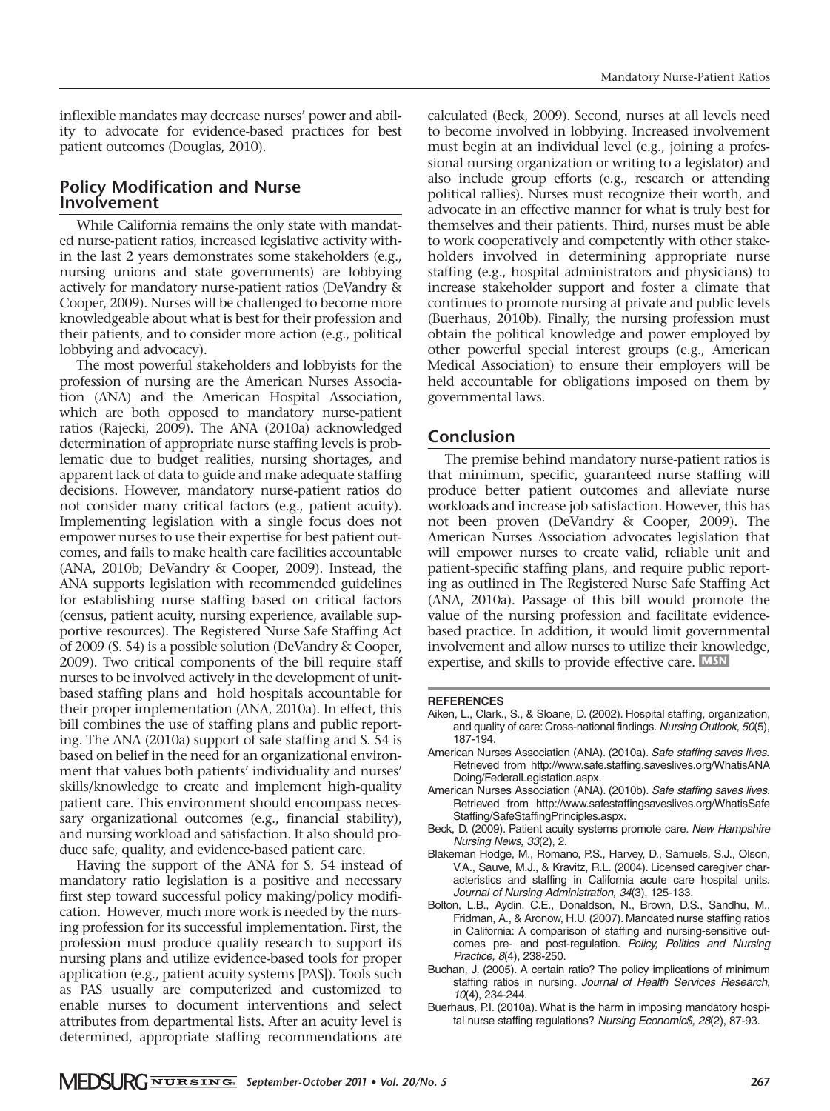inflexible mandates may decrease nurses' power and ability to advocate for evidence-based practices for best patient outcomes (Douglas, 2010).

## **Policy Modification and Nurse Involvement**

While California remains the only state with mandated nurse-patient ratios, increased legislative activity within the last 2 years demonstrates some stakeholders (e.g., nursing unions and state governments) are lobbying actively for mandatory nurse-patient ratios (DeVandry & Cooper, 2009). Nurses will be challenged to become more knowledgeable about what is best for their profession and their patients, and to consider more action (e.g., political lobbying and advocacy).

The most powerful stakeholders and lobbyists for the profession of nursing are the American Nurses Associa tion (ANA) and the American Hospital Association, which are both opposed to mandatory nurse-patient ratios (Rajecki, 2009). The ANA (2010a) acknowledged determination of appropriate nurse staffing levels is problematic due to budget realities, nursing shortages, and apparent lack of data to guide and make adequate staffing decisions. However, mandatory nurse-patient ratios do not consider many critical factors (e.g., patient acuity). Implementing legislation with a single focus does not empower nurses to use their expertise for best patient outcomes, and fails to make health care facilities accountable (ANA, 2010b; DeVandry & Cooper, 2009). Instead, the ANA supports legislation with recommended guidelines for establishing nurse staffing based on critical factors (census, patient acuity, nursing experience, available supportive resources). The Registered Nurse Safe Staffing Act of 2009 (S. 54) is a possible solution (DeVandry & Cooper, 2009). Two critical components of the bill require staff nurses to be involved actively in the development of unitbased staffing plans and hold hospitals accountable for their proper implementation (ANA, 2010a). In effect, this bill combines the use of staffing plans and public reporting. The ANA (2010a) support of safe staffing and S. 54 is based on belief in the need for an organizational environment that values both patients' individuality and nurses' skills/knowledge to create and implement high-quality patient care. This environment should encompass necessary organizational outcomes (e.g., financial stability), and nursing workload and satisfaction. It also should produce safe, quality, and evidence-based patient care.

Having the support of the ANA for S. 54 instead of mandatory ratio legislation is a positive and necessary first step toward successful policy making/policy modification. However, much more work is needed by the nursing profession for its successful implementation. First, the profession must produce quality research to support its nursing plans and utilize evidence-based tools for proper application (e.g., patient acuity systems [PAS]). Tools such as PAS usually are computerized and customized to enable nurses to document interventions and select attributes from departmental lists. After an acuity level is determined, appropriate staffing recommendations are

calculated (Beck, 2009). Second, nurses at all levels need to become involved in lobbying. Increased involvement must begin at an individual level (e.g., joining a professional nursing organization or writing to a legislator) and also include group efforts (e.g., research or attending political rallies). Nurses must recognize their worth, and advocate in an effective manner for what is truly best for themselves and their patients. Third, nurses must be able to work cooperatively and competently with other stakeholders involved in determining appropriate nurse staffing (e.g., hospital administrators and physicians) to increase stakeholder support and foster a climate that continues to promote nursing at private and public levels (Buerhaus, 2010b). Finally, the nursing profession must obtain the political knowledge and power employed by other powerful special interest groups (e.g., American Medical Association) to ensure their employers will be held accountable for obligations imposed on them by governmental laws.

### **Conclusion**

The premise behind mandatory nurse-patient ratios is that minimum, specific, guaranteed nurse staffing will produce better patient outcomes and alleviate nurse workloads and increase job satisfaction. However, this has not been proven (DeVandry & Cooper, 2009). The American Nurses Association advocates legislation that will empower nurses to create valid, reliable unit and patient-specific staffing plans, and require public reporting as outlined in The Registered Nurse Safe Staffing Act (ANA, 2010a). Passage of this bill would promote the value of the nursing profession and facilitate evidencebased practice. In addition, it would limit governmental involvement and allow nurses to utilize their knowledge, expertise, and skills to provide effective care. MSN

#### **REFERENCES**

- Aiken, L., Clark., S., & Sloane, D. (2002). Hospital staffing, organization, and quality of care: Cross-national findings. Nursing Outlook, 50(5), 187-194.
- American Nurses Association (ANA). (2010a). Safe staffing saves lives. Retrieved from http://www.safe.staffing.saveslives.org/WhatisANA Doing/FederalLegistation.aspx.
- American Nurses Association (ANA). (2010b). Safe staffing saves lives. Retrieved from http://www.safestaffingsaveslives.org/WhatisSafe Staffing/SafeStaffingPrinciples.aspx.
- Beck, D. (2009). Patient acuity systems promote care. New Hampshire Nursing News, 33(2), 2.
- Blakeman Hodge, M., Romano, P.S., Harvey, D., Samuels, S.J., Olson, V.A., Sauve, M.J., & Kravitz, R.L. (2004). Licensed caregiver characteristics and staffing in California acute care hospital units. Journal of Nursing Administration, 34(3), 125-133.
- Bolton, L.B., Aydin, C.E., Donaldson, N., Brown, D.S., Sandhu, M., Fridman, A., & Aronow, H.U. (2007). Mandated nurse staffing ratios in California: A comparison of staffing and nursing-sensitive outcomes pre- and post-regulation. Policy, Politics and Nursing Practice, 8(4), 238-250.
- Buchan, J. (2005). A certain ratio? The policy implications of minimum staffing ratios in nursing. Journal of Health Services Research, 10(4), 234-244.
- Buerhaus, P.I. (2010a). What is the harm in imposing mandatory hospital nurse staffing regulations? Nursing Economic\$, 28(2), 87-93.